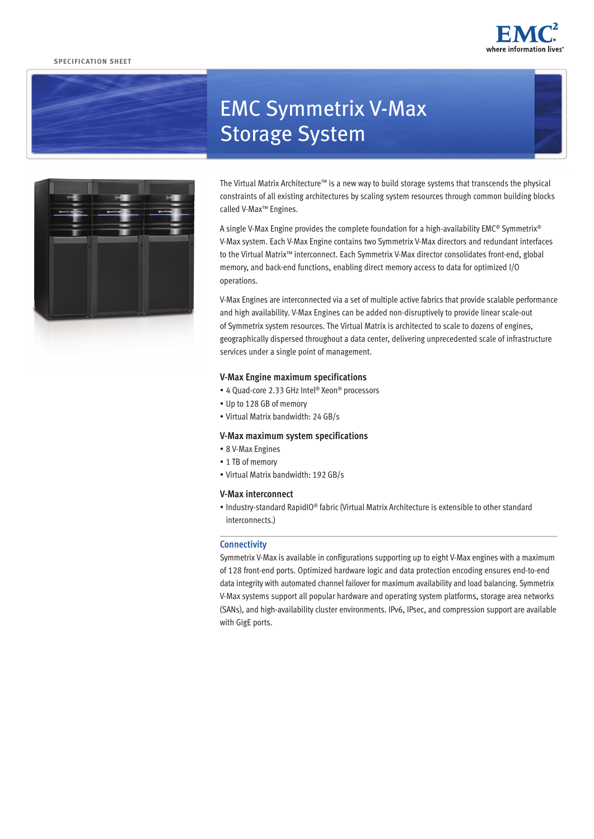## **SPECIFICATION SHEET**







# EMC Symmetrix V-Max Storage System

The Virtual Matrix Architecture™ is a new way to build storage systems that transcends the physical constraints of all existing architectures by scaling system resources through common building blocks called V-Max™ Engines.

A single V-Max Engine provides the complete foundation for a high-availability EMC® Symmetrix® V-Max system. Each V-Max Engine contains two Symmetrix V-Max directors and redundant interfaces to the Virtual Matrix™ interconnect. Each Symmetrix V-Max director consolidates front-end, global memory, and back-end functions, enabling direct memory access to data for optimized I/O operations.

V-Max Engines are interconnected via a set of multiple active fabrics that provide scalable performance and high availability. V-Max Engines can be added non-disruptively to provide linear scale-out of Symmetrix system resources. The Virtual Matrix is architected to scale to dozens of engines, geographically dispersed throughout a data center, delivering unprecedented scale of infrastructure services under a single point of management.

# **V-Max Engine maximum specifications**

- • 4 Quad-core 2.33 GHz Intel® Xeon® processors
- • Up to 128 GB of memory
- • Virtual Matrix bandwidth: 24 GB/s

## **V-Max maximum system specifications**

- 8 V-Max Engines
- 1 TB of memory
- • Virtual Matrix bandwidth: 192 GB/s

# **V-Max interconnect**

• Industry-standard RapidIO® fabric (Virtual Matrix Architecture is extensible to other standard interconnects.)

# **Connectivity**

Symmetrix V-Max is available in configurations supporting up to eight V-Max engines with a maximum of 128 front-end ports. Optimized hardware logic and data protection encoding ensures end-to-end data integrity with automated channel failover for maximum availability and load balancing. Symmetrix V-Max systems support all popular hardware and operating system platforms, storage area networks (SANs), and high-availability cluster environments. IPv6, IPsec, and compression support are available with GigE ports.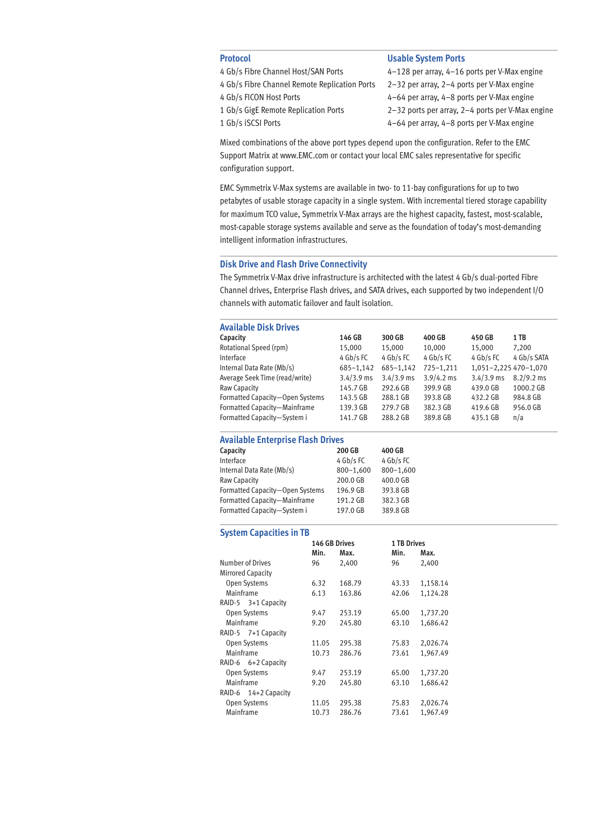- 4 Gb/s Fibre Channel Host/SAN Ports 4–128 per array, 4–16 ports per V-Max engine
- 
- 
- 
- 

# **Protocol Contracts Protocol Contracts Protocol**

 Gb/s Fibre Channel Remote Replication Ports 2–32 per array, 2–4 ports per V-Max engine 4 Gb/s FICON Host Ports<br>4-64 per array, 4-8 ports per V-Max engine Gb/s GigE Remote Replication Ports 2–32 ports per array, 2–4 ports per V-Max engine Gb/s iSCSI Ports 4–64 per array, 4–8 ports per V-Max engine

Mixed combinations of the above port types depend upon the configuration. Refer to the EMC Support Matrix at www.EMC.com or contact your local EMC sales representative for specific configuration support.

EMC Symmetrix V-Max systems are available in two- to 11-bay configurations for up to two petabytes of usable storage capacity in a single system. With incremental tiered storage capability for maximum TCO value, Symmetrix V-Max arrays are the highest capacity, fastest, most-scalable, most-capable storage systems available and serve as the foundation of today's most-demanding intelligent information infrastructures.

# **Disk Drive and Flash Drive Connectivity**

The Symmetrix V-Max drive infrastructure is architected with the latest 4 Gb/s dual-ported Fibre Channel drives, Enterprise Flash drives, and SATA drives, each supported by two independent I/O channels with automatic failover and fault isolation.

# **Available Disk Drives**

| Capacity                        | 146 GB       | 300 GB        | 400 GB        | 450 GB                | 1 TB         |
|---------------------------------|--------------|---------------|---------------|-----------------------|--------------|
| Rotational Speed (rpm)          | 15.000       | 15,000        | 10.000        | 15,000                | 7.200        |
| Interface                       | 4 Gb/s FC    | $4$ Gb/s FC   | 4 Gb/s FC     | 4 Gb/s FC             | 4 Gb/s SATA  |
| Internal Data Rate (Mb/s)       | 685-1,142    | $685 - 1,142$ | $725 - 1.211$ | 1,051-2,225 470-1,070 |              |
| Average Seek Time (read/write)  | $3.4/3.9$ ms | $3.4/3.9$ ms  | $3.9/4.2$ ms  | $3.4/3.9$ ms          | $8.2/9.2$ ms |
| Raw Capacity                    | 145.7 GB     | 292.6 GB      | 399.9 GB      | 439.0 GB              | 1000.2 GB    |
| Formatted Capacity-Open Systems | 143.5 GB     | 288.1 GB      | 393.8 GB      | 432.2 GB              | 984.8 GB     |
| Formatted Capacity-Mainframe    | 139.3 GB     | 279.7 GB      | 382.3 GB      | 419.6 GB              | 956.0 GB     |
| Formatted Capacity-System i     | 141.7 GB     | 288.2 GB      | 389.8 GB      | 435.1 GB              | n/a          |

### **Available Enterprise Flash Drives**

| Capacity                        | 200 GB        | 400 GB        |
|---------------------------------|---------------|---------------|
| Interface                       | 4 Gb/s FC     | 4 Gb/s FC     |
| Internal Data Rate (Mb/s)       | $800 - 1,600$ | $800 - 1,600$ |
| Raw Capacity                    | 200.0 GB      | 400.0 GB      |
| Formatted Capacity-Open Systems | 196.9 GB      | 393.8 GB      |
| Formatted Capacity-Mainframe    | 191.2 GB      | 382.3 GB      |
| Formatted Capacity-System i     | 197.0 GB      | 389.8 GB      |
|                                 |               |               |

# **System Capacities in TB**

|                          | 146 GB Drives |        | <b>1 TB Drives</b> |          |  |  |
|--------------------------|---------------|--------|--------------------|----------|--|--|
|                          | Min.          | Max.   | Min.               | Max.     |  |  |
| <b>Number of Drives</b>  | 96            | 2,400  | 96                 | 2,400    |  |  |
| <b>Mirrored Capacity</b> |               |        |                    |          |  |  |
| Open Systems             | 6.32          | 168.79 | 43.33              | 1,158.14 |  |  |
| Mainframe                | 6.13          | 163.86 | 42.06              | 1,124.28 |  |  |
| RAID-5 3+1 Capacity      |               |        |                    |          |  |  |
| <b>Open Systems</b>      | 9.47          | 253.19 | 65.00              | 1,737.20 |  |  |
| Mainframe                | 9.20          | 245.80 | 63.10              | 1,686.42 |  |  |
| RAID-5 7+1 Capacity      |               |        |                    |          |  |  |
| Open Systems             | 11.05         | 295.38 | 75.83              | 2,026.74 |  |  |
| Mainframe                | 10.73         | 286.76 | 73.61              | 1,967.49 |  |  |
| RAID-6 6+2 Capacity      |               |        |                    |          |  |  |
| Open Systems             | 9.47          | 253.19 | 65.00              | 1,737.20 |  |  |
| Mainframe                | 9.20          | 245.80 | 63.10              | 1,686.42 |  |  |
| RAID-6 14+2 Capacity     |               |        |                    |          |  |  |
| Open Systems             | 11.05         | 295.38 | 75.83              | 2,026.74 |  |  |
| Mainframe                | 10.73         | 286.76 | 73.61              | 1,967.49 |  |  |
|                          |               |        |                    |          |  |  |